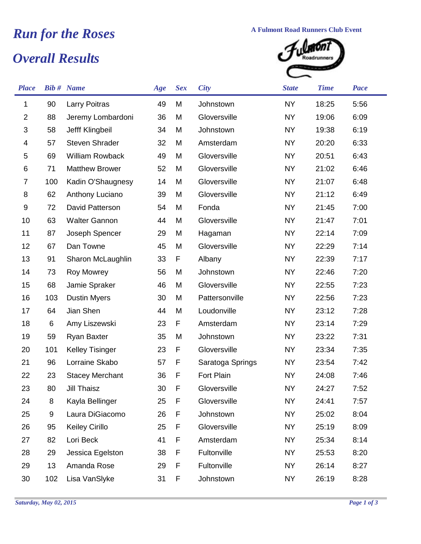## *Overall Results* **Run for the Roses A Fulmont Road Runners Club Event**<br> **A** Fulmont Road Runners Club Event<br> **A** Change Road runners



| <b>Place</b>   |     | <b>Bib #</b> Name      | Age             | <b>Sex</b> | <b>City</b>      | <b>State</b> | <b>Time</b> | Pace |
|----------------|-----|------------------------|-----------------|------------|------------------|--------------|-------------|------|
| 1              | 90  | <b>Larry Poitras</b>   | 49              | M          | Johnstown        | <b>NY</b>    | 18:25       | 5:56 |
| $\overline{2}$ | 88  | Jeremy Lombardoni      | 36              | M          | Gloversville     | <b>NY</b>    | 19:06       | 6:09 |
| $\sqrt{3}$     | 58  | Jefff Klingbeil        | 34              | M          | Johnstown        | <b>NY</b>    | 19:38       | 6:19 |
| 4              | 57  | <b>Steven Shrader</b>  | 32              | M          | Amsterdam        | <b>NY</b>    | 20:20       | 6:33 |
| 5              | 69  | <b>William Rowback</b> | 49              | M          | Gloversville     | <b>NY</b>    | 20:51       | 6:43 |
| 6              | 71  | <b>Matthew Brower</b>  | 52              | M          | Gloversville     | <b>NY</b>    | 21:02       | 6:46 |
| $\overline{7}$ | 100 | Kadin O'Shaugnesy      | 14              | M          | Gloversville     | <b>NY</b>    | 21:07       | 6:48 |
| 8              | 62  | Anthony Luciano        | 39              | M          | Gloversville     | <b>NY</b>    | 21:12       | 6:49 |
| 9              | 72  | David Patterson        | 54              | M          | Fonda            | <b>NY</b>    | 21:45       | 7:00 |
| 10             | 63  | <b>Walter Gannon</b>   | 44              | M          | Gloversville     | <b>NY</b>    | 21:47       | 7:01 |
| 11             | 87  | Joseph Spencer         | 29              | M          | Hagaman          | <b>NY</b>    | 22:14       | 7:09 |
| 12             | 67  | Dan Towne              | 45              | M          | Gloversville     | <b>NY</b>    | 22:29       | 7:14 |
| 13             | 91  | Sharon McLaughlin      | 33              | F          | Albany           | <b>NY</b>    | 22:39       | 7:17 |
| 14             | 73  | Roy Mowrey             | 56              | M          | Johnstown        | <b>NY</b>    | 22:46       | 7:20 |
| 15             | 68  | Jamie Spraker          | 46              | M          | Gloversville     | <b>NY</b>    | 22:55       | 7:23 |
| 16             | 103 | <b>Dustin Myers</b>    | 30              | M          | Pattersonville   | <b>NY</b>    | 22:56       | 7:23 |
| 17             | 64  | Jian Shen              | 44              | M          | Loudonville      | <b>NY</b>    | 23:12       | 7:28 |
| 18             | 6   | Amy Liszewski          | 23              | F          | Amsterdam        | NY           | 23:14       | 7:29 |
| 19             | 59  | Ryan Baxter            | 35              | M          | Johnstown        | <b>NY</b>    | 23:22       | 7:31 |
| 20             | 101 | <b>Kelley Tisinger</b> | 23              | F          | Gloversville     | <b>NY</b>    | 23:34       | 7:35 |
| 21             | 96  | Lorraine Skabo         | 57              | F          | Saratoga Springs | <b>NY</b>    | 23:54       | 7:42 |
| 22             | 23  | <b>Stacey Merchant</b> | 36              | F          | Fort Plain       | <b>NY</b>    | 24:08       | 7:46 |
| 23             | 80  | Jill Thaisz            | 30 <sup>°</sup> | F.         | Gloversville     | <b>NY</b>    | 24:27       | 7:52 |
| 24             | 8   | Kayla Bellinger        | 25              | F          | Gloversville     | <b>NY</b>    | 24:41       | 7:57 |
| 25             | 9   | Laura DiGiacomo        | 26              | F          | Johnstown        | <b>NY</b>    | 25:02       | 8:04 |
| 26             | 95  | <b>Keiley Cirillo</b>  | 25              | F          | Gloversville     | <b>NY</b>    | 25:19       | 8:09 |
| 27             | 82  | Lori Beck              | 41              | F          | Amsterdam        | NY           | 25:34       | 8:14 |
| 28             | 29  | Jessica Egelston       | 38              | F          | Fultonville      | <b>NY</b>    | 25:53       | 8:20 |
| 29             | 13  | Amanda Rose            | 29              | F          | Fultonville      | <b>NY</b>    | 26:14       | 8:27 |
| 30             | 102 | Lisa VanSlyke          | 31              | F          | Johnstown        | <b>NY</b>    | 26:19       | 8:28 |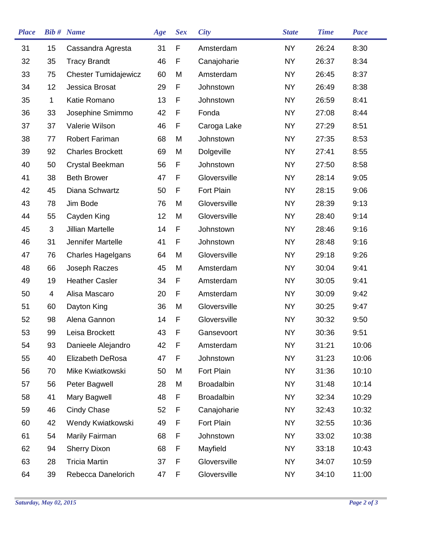| <b>Place</b> |             | <b>Bib #</b> Name           | Age | <b>Sex</b> | <b>City</b>       | <b>State</b> | <b>Time</b> | <b>Pace</b> |
|--------------|-------------|-----------------------------|-----|------------|-------------------|--------------|-------------|-------------|
| 31           | 15          | Cassandra Agresta           | 31  | F          | Amsterdam         | <b>NY</b>    | 26:24       | 8:30        |
| 32           | 35          | <b>Tracy Brandt</b>         | 46  | F          | Canajoharie       | <b>NY</b>    | 26:37       | 8:34        |
| 33           | 75          | <b>Chester Tumidajewicz</b> | 60  | M          | Amsterdam         | <b>NY</b>    | 26:45       | 8:37        |
| 34           | 12          | Jessica Brosat              | 29  | F          | Johnstown         | <b>NY</b>    | 26:49       | 8:38        |
| 35           | $\mathbf 1$ | Katie Romano                | 13  | F          | Johnstown         | <b>NY</b>    | 26:59       | 8:41        |
| 36           | 33          | Josephine Smimmo            | 42  | F          | Fonda             | <b>NY</b>    | 27:08       | 8:44        |
| 37           | 37          | Valerie Wilson              | 46  | F          | Caroga Lake       | <b>NY</b>    | 27:29       | 8:51        |
| 38           | 77          | Robert Fariman              | 68  | M          | Johnstown         | <b>NY</b>    | 27:35       | 8:53        |
| 39           | 92          | <b>Charles Brockett</b>     | 69  | M          | Dolgeville        | <b>NY</b>    | 27:41       | 8:55        |
| 40           | 50          | Crystal Beekman             | 56  | F          | Johnstown         | <b>NY</b>    | 27:50       | 8:58        |
| 41           | 38          | <b>Beth Brower</b>          | 47  | F          | Gloversville      | <b>NY</b>    | 28:14       | 9:05        |
| 42           | 45          | Diana Schwartz              | 50  | F          | <b>Fort Plain</b> | <b>NY</b>    | 28:15       | 9:06        |
| 43           | 78          | Jim Bode                    | 76  | M          | Gloversville      | <b>NY</b>    | 28:39       | 9:13        |
| 44           | 55          | Cayden King                 | 12  | M          | Gloversville      | <b>NY</b>    | 28:40       | 9:14        |
| 45           | 3           | <b>Jillian Martelle</b>     | 14  | F          | Johnstown         | <b>NY</b>    | 28:46       | 9:16        |
| 46           | 31          | Jennifer Martelle           | 41  | F          | Johnstown         | <b>NY</b>    | 28:48       | 9:16        |
| 47           | 76          | <b>Charles Hagelgans</b>    | 64  | M          | Gloversville      | <b>NY</b>    | 29:18       | 9:26        |
| 48           | 66          | Joseph Raczes               | 45  | M          | Amsterdam         | <b>NY</b>    | 30:04       | 9:41        |
| 49           | 19          | <b>Heather Casler</b>       | 34  | F          | Amsterdam         | <b>NY</b>    | 30:05       | 9:41        |
| 50           | 4           | Alisa Mascaro               | 20  | F          | Amsterdam         | <b>NY</b>    | 30:09       | 9:42        |
| 51           | 60          | Dayton King                 | 36  | M          | Gloversville      | <b>NY</b>    | 30:25       | 9:47        |
| 52           | 98          | Alena Gannon                | 14  | F          | Gloversville      | <b>NY</b>    | 30:32       | 9:50        |
| 53           | 99          | Leisa Brockett              | 43  | F          | Gansevoort        | <b>NY</b>    | 30:36       | 9:51        |
| 54           | 93          | Danieele Alejandro          | 42  | F          | Amsterdam         | <b>NY</b>    | 31:21       | 10:06       |
| 55           | 40          | Elizabeth DeRosa            | 47  | F          | Johnstown         | <b>NY</b>    | 31:23       | 10:06       |
| 56           | 70          | Mike Kwiatkowski            | 50  | M          | Fort Plain        | <b>NY</b>    | 31:36       | 10:10       |
| 57           | 56          | Peter Bagwell               | 28  | M          | <b>Broadalbin</b> | <b>NY</b>    | 31:48       | 10:14       |
| 58           | 41          | Mary Bagwell                | 48  | F          | <b>Broadalbin</b> | <b>NY</b>    | 32:34       | 10:29       |
| 59           | 46          | <b>Cindy Chase</b>          | 52  | F          | Canajoharie       | <b>NY</b>    | 32:43       | 10:32       |
| 60           | 42          | Wendy Kwiatkowski           | 49  | F          | Fort Plain        | <b>NY</b>    | 32:55       | 10:36       |
| 61           | 54          | Marily Fairman              | 68  | F          | Johnstown         | <b>NY</b>    | 33:02       | 10:38       |
| 62           | 94          | <b>Sherry Dixon</b>         | 68  | F          | Mayfield          | <b>NY</b>    | 33:18       | 10:43       |
| 63           | 28          | <b>Tricia Martin</b>        | 37  | F          | Gloversville      | <b>NY</b>    | 34:07       | 10:59       |
| 64           | 39          | Rebecca Danelorich          | 47  | F          | Gloversville      | <b>NY</b>    | 34:10       | 11:00       |
|              |             |                             |     |            |                   |              |             |             |